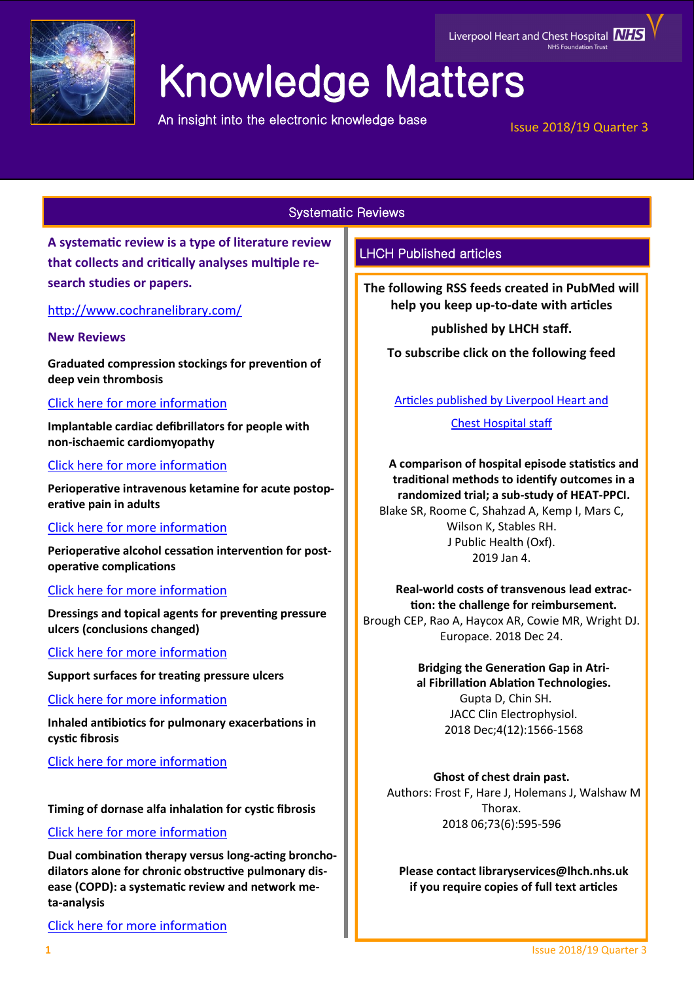

# Knowledge Matters

An insight into the electronic knowledge base

# Liverpool Heart and Chest Hospital **NHS**

Issue 2018/19 Quarter 3

# Systematic Reviews

**A systematic review is a type of literature review that collects and critically analyses multiple research studies or papers.** 

<http://www.cochranelibrary.com/>

#### **New Reviews**

**Graduated compression stockings for prevention of deep vein thrombosis**

# [Click here for more information](https://www.cochranelibrary.com/cdsr/doi/10.1002/14651858.CD001484.pub4/full?highlightAbstract=withdrawn)

**Implantable cardiac defibrillators for people with non-ischaemic cardiomyopathy**

[Click here for more information](https://www.cochranelibrary.com/cdsr/doi/10.1002/14651858.CD012738.pub2/full?highlightAbstract=withdrawn)

**Perioperative intravenous ketamine for acute postoperative pain in adults**

# [Click here for more information](https://www.cochranelibrary.com/cdsr/doi/10.1002/14651858.CD012033.pub4/full?highlightAbstract=withdrawn)

**Perioperative alcohol cessation intervention for postoperative complications**

# [Click here for more information](https://www.cochranelibrary.com/cdsr/doi/10.1002/14651858.CD008343.pub3/full?highlightAbstract=withdrawn)

**Dressings and topical agents for preventing pressure ulcers (conclusions changed)**

[Click here for more information](https://www.cochranelibrary.com/cdsr/doi/10.1002/14651858.CD009362.pub3/full?highlightAbstract=withdrawn)

**Support surfaces for treating pressure ulcers**

[Click here for more information](https://www.cochranelibrary.com/cdsr/doi/10.1002/14651858.CD009490.pub2/full?highlightAbstract=withdrawn)

**Inhaled antibiotics for pulmonary exacerbations in cystic fibrosis**

[Click here for more information](https://www.cochranelibrary.com/cdsr/doi/10.1002/14651858.CD008319.pub3/full?highlightAbstract=withdrawn)

# **Timing of dornase alfa inhalation for cystic fibrosis**

# [Click here for more information](https://www.cochranelibrary.com/cdsr/doi/10.1002/14651858.CD007923.pub5/full?highlightAbstract=withdrawn)

**Dual combination therapy versus long-acting bronchodilators alone for chronic obstructive pulmonary disease (COPD): a systematic review and network meta-analysis**

[Click here for more information](https://www.cochranelibrary.com/cdsr/doi/10.1002/14651858.CD012620.pub2/full?highlightAbstract=withdrawn)

# LHCH Published articles

**The following RSS feeds created in PubMed will help you keep up-to-date with articles** 

**published by LHCH staff.**

**To subscribe click on the following feed** 

[Articles published by Liverpool Heart and](http://eutils.ncbi.nlm.nih.gov/entrez/eutils/erss.cgi?rss_guid=1jmC0p0kwOiCcrGq4UdlH-eTmaOgJ316E2QW_6DKsMnynMiQ2d) 

[Chest Hospital staff](http://eutils.ncbi.nlm.nih.gov/entrez/eutils/erss.cgi?rss_guid=1jmC0p0kwOiCcrGq4UdlH-eTmaOgJ316E2QW_6DKsMnynMiQ2d) 

**[A comparison of hospital episode statistics and](https://www.ncbi.nlm.nih.gov/pubmed/30608593)  [traditional methods to identify outcomes in a](https://www.ncbi.nlm.nih.gov/pubmed/30608593)  [randomized trial; a sub](https://www.ncbi.nlm.nih.gov/pubmed/30608593)-study of HEAT-PPCI.** Blake SR, Roome C, Shahzad A, Kemp I, Mars C, Wilson K, Stables RH. J Public Health (Oxf). 2019 Jan 4.

**Real-[world costs of transvenous lead extrac](https://www.ncbi.nlm.nih.gov/pubmed/30590458)[tion: the challenge for reimbursement.](https://www.ncbi.nlm.nih.gov/pubmed/30590458)** Brough CEP, Rao A, Haycox AR, Cowie MR, Wright DJ. Europace. 2018 Dec 24.

**[Bridging the Generation Gap in Atri-](https://www.ncbi.nlm.nih.gov/pubmed/30573120)**

**al [Fibrillation Ablation Technologies.](https://www.ncbi.nlm.nih.gov/pubmed/30573120)** Gupta D, Chin SH. JACC Clin Electrophysiol. 2018 Dec;4(12):1566-1568

**Ghost of chest drain past.** Authors: Frost F, Hare J, Holemans J, Walshaw M Thorax. 2018 06;73(6):595-596

**Please contact libraryservices@lhch.nhs.uk if you require copies of full text articles**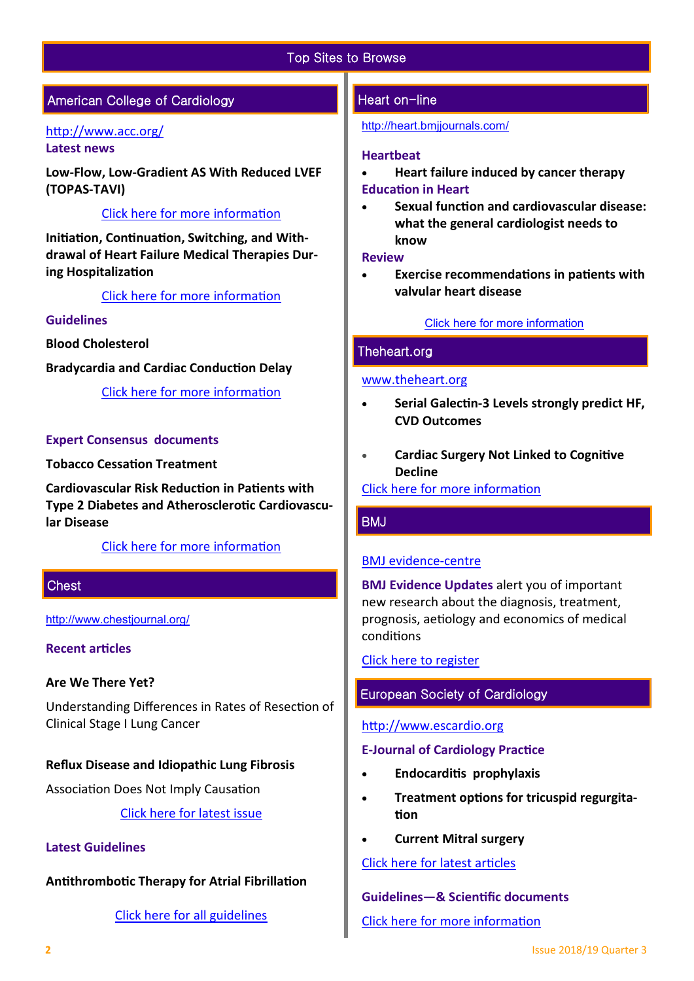# Top Sites to Browse

# American College of Cardiology

#### <http://www.acc.org/> **Latest news**

**Low-Flow, Low-Gradient AS With Reduced LVEF (TOPAS-TAVI)**

#### [Click here for more information](https://www.acc.org/latest-in-cardiology/journal-scans/2018/12/31/19/39/outcomes-from-tavr-in-patients-with-lflg-as)

**Initiation, Continuation, Switching, and Withdrawal of Heart Failure Medical Therapies During Hospitalization**

#### [Click here for more information](http://heartfailure.onlinejacc.org/content/7/1/1?_ga=2.195665327.227745537.1546599312-545228888.1519725735)

## **Guidelines**

**Blood Cholesterol**

**Bradycardia and Cardiac Conduction Delay**

[Click here for more information](http://www.acc.org/guidelines#sort=%40foriginalz32xpostedz32xdate86069%20descending&f:@fdocumentz32xtype86069_670363a472df42e3adff1c75ae78b00f=[Guidelines]http://www.acc.org/guidelines) 

#### **Expert Consensus documents**

**Tobacco Cessation Treatment**

**Cardiovascular Risk Reduction in Patients with Type 2 Diabetes and Atherosclerotic Cardiovascular Disease**

#### [Click here for more information](http://www.acc.org/guidelines#tab1)

#### **Chest**

[http://www.chestjournal.org/](https://journal.chestnet.org/)

#### **Recent articles**

#### **Are We There Yet?**

Understanding Differences in Rates of Resection of Clinical Stage I Lung Cancer

#### **Reflux Disease and Idiopathic Lung Fibrosis**

Association Does Not Imply Causation

[Click here for latest issue](http://journal.chestnet.org/current)

#### **Latest Guidelines**

**Antithrombotic Therapy for Atrial Fibrillation** 

#### [Click here for all guidelines](http://journal.chestnet.org/guidelines)

#### Heart on-line

#### <http://heart.bmjjournals.com/>

#### **Heartbeat**

- **Heart failure induced by cancer therapy Education in Heart**
- **Sexual function and cardiovascular disease: what the general cardiologist needs to know**

#### **Review**

 **Exercise recommendations in patients with valvular heart disease**

#### [Click here for more information](http://heart.bmj.com/content/current)

#### Theheart.org

#### [www.theheart.org](https://www.medscape.com/cardiology?t=1)

- **Serial Galectin-3 Levels strongly predict HF, CVD Outcomes**
- **Cardiac Surgery Not Linked to Cognitive Decline**

[Click here for more information](http://www.medscape.com/cardiology?t=1)

#### BMJ

#### [BMJ evidence](http://plus.mcmaster.ca/EvidenceUpdates/Default.aspx)-centre

**BMJ Evidence Updates** alert you of important new research about the diagnosis, treatment, prognosis, aetiology and economics of medical conditions

[Click here to register](http://plus.mcmaster.ca/EvidenceUpdates/Registration.aspx)

# European Society of Cardiology

#### [http://www.escardio.org](http://www.escardio.org/Pages/index.aspx)

#### **E-Journal of Cardiology Practice**

- **Endocarditis prophylaxis**
- **Treatment options for tricuspid regurgitation**
- **Current Mitral surgery**

#### [Click here for latest articles](http://www.escardio.org/Journals/E-Journal-of-Cardiology-Practice)

**Guidelines—& Scientific documents** 

[Click here for more information](https://www.escardio.org/Guidelines)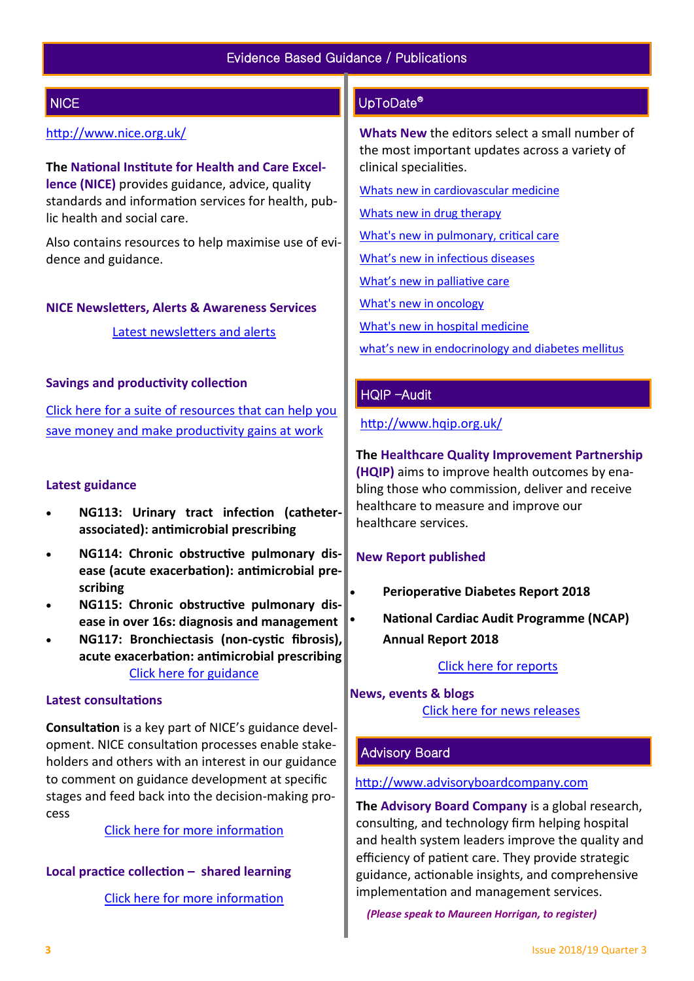# **NICE**

# <http://www.nice.org.uk/>

**The National Institute for Health and Care Excellence (NICE)** provides guidance, advice, quality standards and information services for health, public health and social care.

Also contains resources to help maximise use of evidence and guidance.

#### **NICE Newsletters, Alerts & Awareness Services**

[Latest newsletters and alerts](http://www.nice.org.uk/news/nice-newsletters-and-alerts)

#### **Savings and productivity collection**

[Click here for a suite of resources that can help you](https://www.nice.org.uk/about/What-we-do/Our-Programmes/Savings-And-Productivity-Collection)  [save money and make productivity gains at work](https://www.nice.org.uk/about/What-we-do/Our-Programmes/Savings-And-Productivity-Collection)

#### **Latest guidance**

- **NG113: Urinary tract infection (catheterassociated): antimicrobial prescribing**
- **NG114: Chronic obstructive pulmonary disease (acute exacerbation): antimicrobial prescribing**
- **NG115: Chronic obstructive pulmonary disease in over 16s: diagnosis and management**
- **NG117: Bronchiectasis (non-cystic fibrosis), acute exacerbation: antimicrobial prescribing** [Click here for guidance](https://www.nice.org.uk/guidance/published?type=apg,csg,cg,mpg,ph,sg,sc)

#### **Latest consultations**

**Consultation** is a key part of NICE's guidance development. NICE consultation processes enable stakeholders and others with an interest in our guidance to comment on guidance development at specific stages and feed back into the decision-making process

[Click here for more information](https://www.nice.org.uk/guidance/inconsultation) 

#### **Local practice collection – shared learning**

[Click here for more information](https://www.nice.org.uk/localPractice/collection) 

# UpToDate®

**Whats New** the editors select a small number of the most important updates across a variety of clinical specialities.

[Whats new in cardiovascular medicine](http://www.uptodate.com/contents/whats-new-in-cardiovascular-medicine)

[Whats new in drug therapy](http://www.uptodate.com/contents/whats-new-in-drug-therapy)

[What's new in pulmonary, critical care](http://www.uptodate.com/contents/whats-new-in-pulmonary-critical-care-and-sleep-medicine)

[What's new in infectious diseases](http://www.uptodate.com/contents/whats-new-in-infectious-diseases)

[What's new in palliative care](http://www.uptodate.com/contents/whats-new-in-palliative-care)

[What's new in oncology](http://www.uptodate.com/contents/whats-new-in-oncology)

[What's new in hospital medicine](http://www.uptodate.com/contents/whats-new-in-hospital-medicine)

[what's new in endocrinology and diabetes mellitus](http://www.uptodate.com/contents/whats-new-in-endocrinology-and-diabetes-mellitus)

#### HQIP –Audit

<http://www.hqip.org.uk/>

**The Healthcare Quality Improvement Partnership (HQIP)** aims to improve health outcomes by enabling those who commission, deliver and receive healthcare to measure and improve our healthcare services.

#### **New Report published**

- **Perioperative Diabetes Report 2018**
- **National Cardiac Audit Programme (NCAP) Annual Report 2018**

#### [Click here for reports](http://www.hqip.org.uk/resources/?fwp_resource_type=reports#.XC9IK4dXU5i)

# **News, events & blogs** [Click here for news releases](http://www.hqip.org.uk/news-releases/)

#### Advisory Board

#### [http://www.advisoryboardcompany.com](http://www.advisoryboardcompany.com/)

**The Advisory Board Company** is a global research, consulting, and technology firm helping hospital and health system leaders improve the quality and efficiency of patient care. They provide strategic guidance, actionable insights, and comprehensive implementation and management services.

*(Please speak to Maureen Horrigan, to register)*